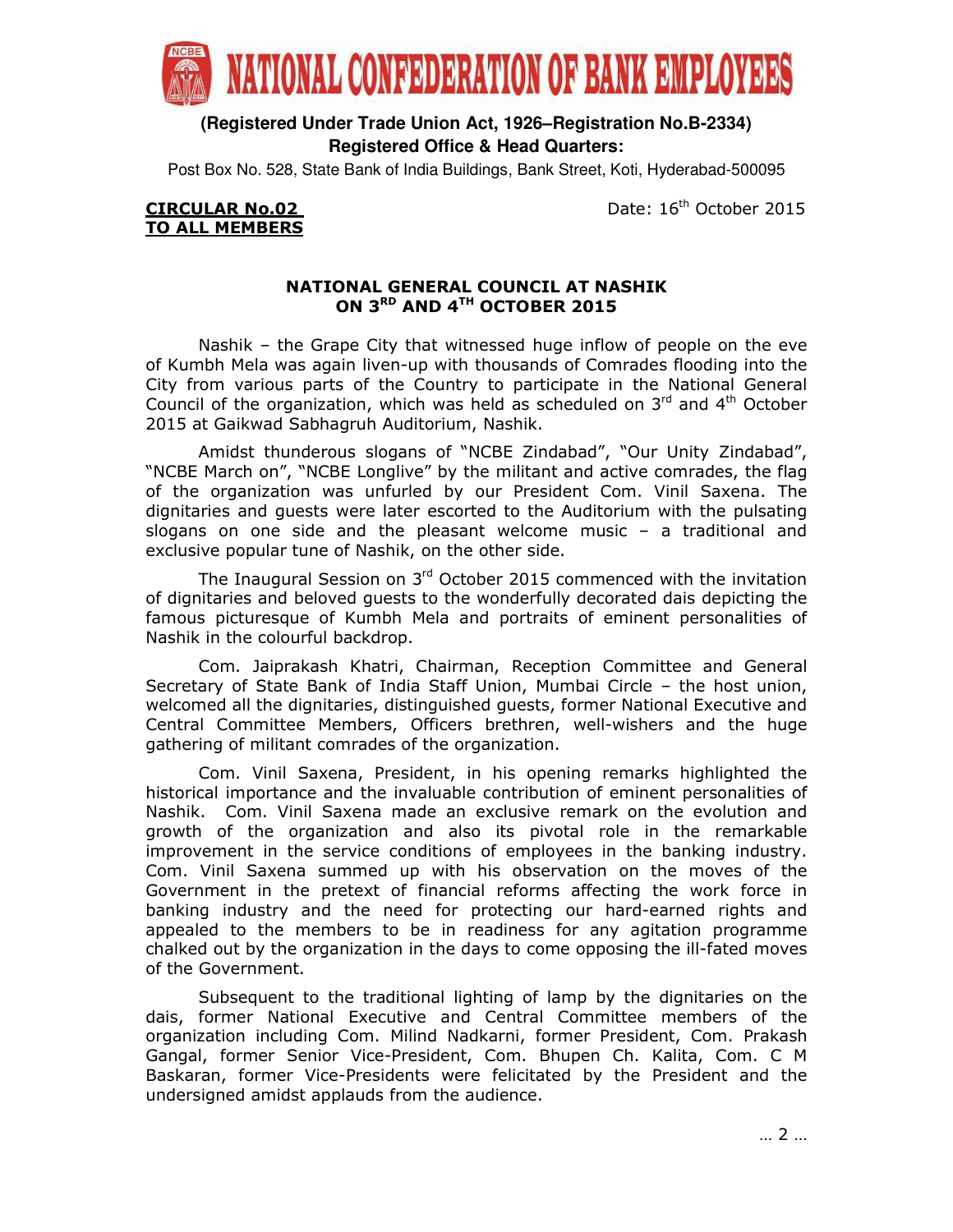

**(Registered Under Trade Union Act, 1926–Registration No.B-2334) Registered Office & Head Quarters:**

Post Box No. 528, State Bank of India Buildings, Bank Street, Koti, Hyderabad-500095

CIRCULAR No.02 Date: 16<sup>th</sup> October 2015

# TO ALL MEMBERS

## NATIONAL GENERAL COUNCIL AT NASHIK ON 3<sup>RD</sup> AND 4<sup>TH</sup> OCTOBER 2015

Nashik – the Grape City that witnessed huge inflow of people on the eve of Kumbh Mela was again liven-up with thousands of Comrades flooding into the City from various parts of the Country to participate in the National General Council of the organization, which was held as scheduled on  $3<sup>rd</sup>$  and  $4<sup>th</sup>$  October 2015 at Gaikwad Sabhagruh Auditorium, Nashik.

Amidst thunderous slogans of "NCBE Zindabad", "Our Unity Zindabad", "NCBE March on", "NCBE Longlive" by the militant and active comrades, the flag of the organization was unfurled by our President Com. Vinil Saxena. The dignitaries and guests were later escorted to the Auditorium with the pulsating slogans on one side and the pleasant welcome music – a traditional and exclusive popular tune of Nashik, on the other side.

The Inaugural Session on 3rd October 2015 commenced with the invitation of dignitaries and beloved guests to the wonderfully decorated dais depicting the famous picturesque of Kumbh Mela and portraits of eminent personalities of Nashik in the colourful backdrop.

Com. Jaiprakash Khatri, Chairman, Reception Committee and General Secretary of State Bank of India Staff Union, Mumbai Circle – the host union, welcomed all the dignitaries, distinguished guests, former National Executive and Central Committee Members, Officers brethren, well-wishers and the huge gathering of militant comrades of the organization.

Com. Vinil Saxena, President, in his opening remarks highlighted the historical importance and the invaluable contribution of eminent personalities of Nashik. Com. Vinil Saxena made an exclusive remark on the evolution and growth of the organization and also its pivotal role in the remarkable improvement in the service conditions of employees in the banking industry. Com. Vinil Saxena summed up with his observation on the moves of the Government in the pretext of financial reforms affecting the work force in banking industry and the need for protecting our hard-earned rights and appealed to the members to be in readiness for any agitation programme chalked out by the organization in the days to come opposing the ill-fated moves of the Government.

Subsequent to the traditional lighting of lamp by the dignitaries on the dais, former National Executive and Central Committee members of the organization including Com. Milind Nadkarni, former President, Com. Prakash Gangal, former Senior Vice-President, Com. Bhupen Ch. Kalita, Com. C M Baskaran, former Vice-Presidents were felicitated by the President and the undersigned amidst applauds from the audience.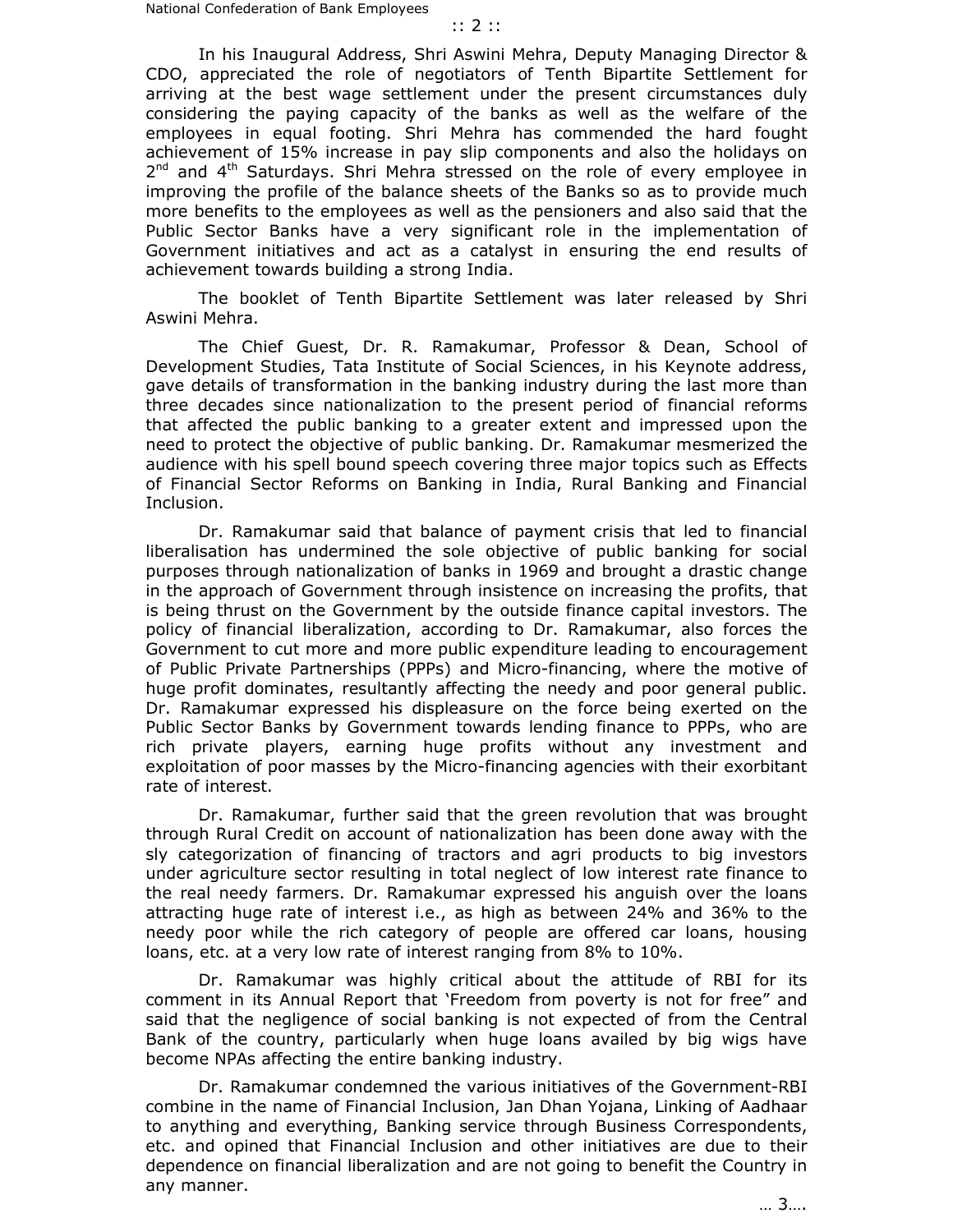In his Inaugural Address, Shri Aswini Mehra, Deputy Managing Director & CDO, appreciated the role of negotiators of Tenth Bipartite Settlement for arriving at the best wage settlement under the present circumstances duly considering the paying capacity of the banks as well as the welfare of the employees in equal footing. Shri Mehra has commended the hard fought achievement of 15% increase in pay slip components and also the holidays on 2<sup>nd</sup> and 4<sup>th</sup> Saturdays. Shri Mehra stressed on the role of every employee in improving the profile of the balance sheets of the Banks so as to provide much more benefits to the employees as well as the pensioners and also said that the Public Sector Banks have a very significant role in the implementation of Government initiatives and act as a catalyst in ensuring the end results of achievement towards building a strong India.

The booklet of Tenth Bipartite Settlement was later released by Shri Aswini Mehra.

 The Chief Guest, Dr. R. Ramakumar, Professor & Dean, School of Development Studies, Tata Institute of Social Sciences, in his Keynote address, gave details of transformation in the banking industry during the last more than three decades since nationalization to the present period of financial reforms that affected the public banking to a greater extent and impressed upon the need to protect the objective of public banking. Dr. Ramakumar mesmerized the audience with his spell bound speech covering three major topics such as Effects of Financial Sector Reforms on Banking in India, Rural Banking and Financial Inclusion.

 Dr. Ramakumar said that balance of payment crisis that led to financial liberalisation has undermined the sole objective of public banking for social purposes through nationalization of banks in 1969 and brought a drastic change in the approach of Government through insistence on increasing the profits, that is being thrust on the Government by the outside finance capital investors. The policy of financial liberalization, according to Dr. Ramakumar, also forces the Government to cut more and more public expenditure leading to encouragement of Public Private Partnerships (PPPs) and Micro-financing, where the motive of huge profit dominates, resultantly affecting the needy and poor general public. Dr. Ramakumar expressed his displeasure on the force being exerted on the Public Sector Banks by Government towards lending finance to PPPs, who are rich private players, earning huge profits without any investment and exploitation of poor masses by the Micro-financing agencies with their exorbitant rate of interest.

 Dr. Ramakumar, further said that the green revolution that was brought through Rural Credit on account of nationalization has been done away with the sly categorization of financing of tractors and agri products to big investors under agriculture sector resulting in total neglect of low interest rate finance to the real needy farmers. Dr. Ramakumar expressed his anguish over the loans attracting huge rate of interest i.e., as high as between 24% and 36% to the needy poor while the rich category of people are offered car loans, housing loans, etc. at a very low rate of interest ranging from 8% to 10%.

Dr. Ramakumar was highly critical about the attitude of RBI for its comment in its Annual Report that 'Freedom from poverty is not for free" and said that the negligence of social banking is not expected of from the Central Bank of the country, particularly when huge loans availed by big wigs have become NPAs affecting the entire banking industry.

 Dr. Ramakumar condemned the various initiatives of the Government-RBI combine in the name of Financial Inclusion, Jan Dhan Yojana, Linking of Aadhaar to anything and everything, Banking service through Business Correspondents, etc. and opined that Financial Inclusion and other initiatives are due to their dependence on financial liberalization and are not going to benefit the Country in any manner.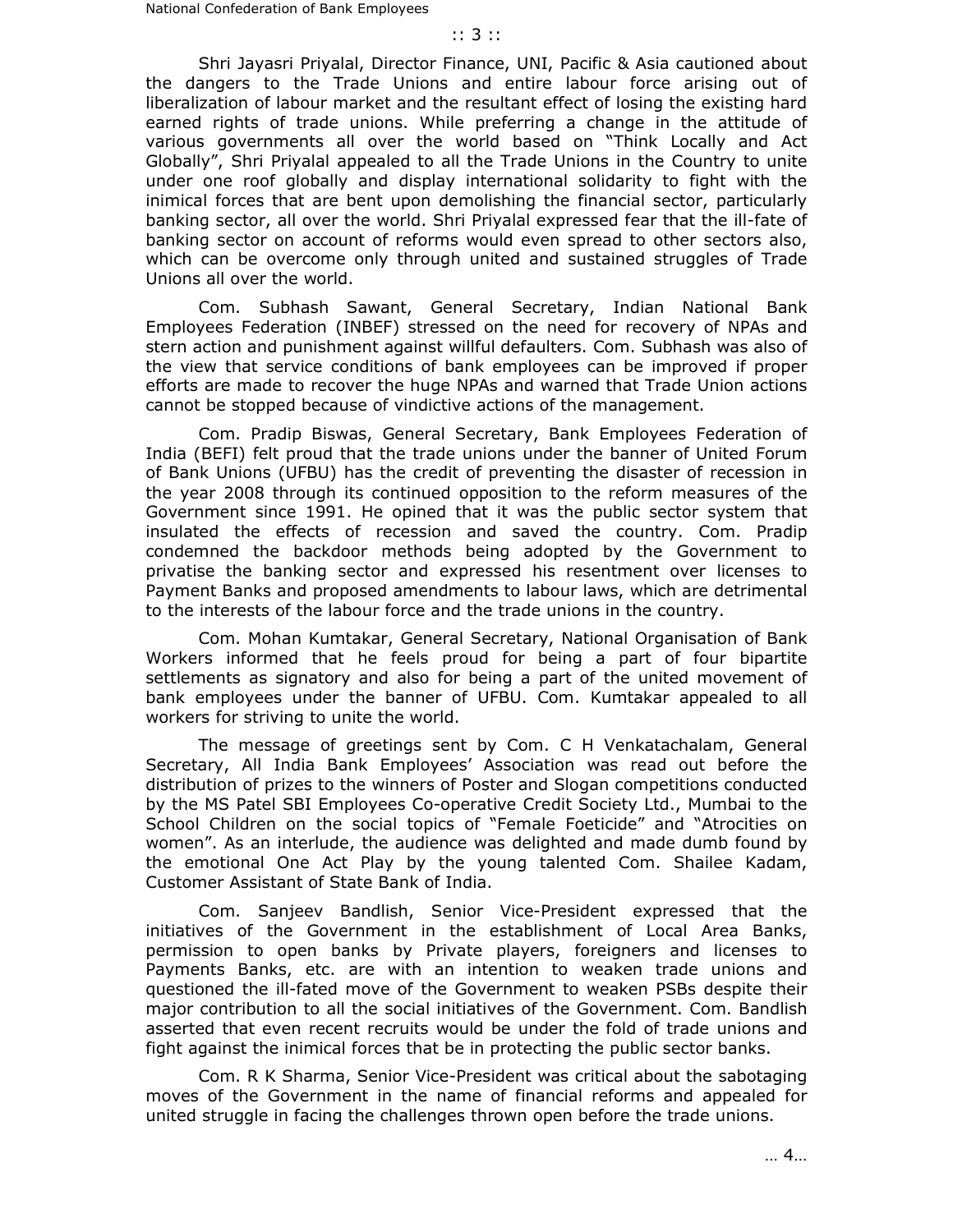Shri Jayasri Priyalal, Director Finance, UNI, Pacific & Asia cautioned about the dangers to the Trade Unions and entire labour force arising out of liberalization of labour market and the resultant effect of losing the existing hard earned rights of trade unions. While preferring a change in the attitude of various governments all over the world based on "Think Locally and Act Globally", Shri Priyalal appealed to all the Trade Unions in the Country to unite under one roof globally and display international solidarity to fight with the inimical forces that are bent upon demolishing the financial sector, particularly banking sector, all over the world. Shri Priyalal expressed fear that the ill-fate of banking sector on account of reforms would even spread to other sectors also, which can be overcome only through united and sustained struggles of Trade Unions all over the world.

 Com. Subhash Sawant, General Secretary, Indian National Bank Employees Federation (INBEF) stressed on the need for recovery of NPAs and stern action and punishment against willful defaulters. Com. Subhash was also of the view that service conditions of bank employees can be improved if proper efforts are made to recover the huge NPAs and warned that Trade Union actions cannot be stopped because of vindictive actions of the management.

 Com. Pradip Biswas, General Secretary, Bank Employees Federation of India (BEFI) felt proud that the trade unions under the banner of United Forum of Bank Unions (UFBU) has the credit of preventing the disaster of recession in the year 2008 through its continued opposition to the reform measures of the Government since 1991. He opined that it was the public sector system that insulated the effects of recession and saved the country. Com. Pradip condemned the backdoor methods being adopted by the Government to privatise the banking sector and expressed his resentment over licenses to Payment Banks and proposed amendments to labour laws, which are detrimental to the interests of the labour force and the trade unions in the country.

 Com. Mohan Kumtakar, General Secretary, National Organisation of Bank Workers informed that he feels proud for being a part of four bipartite settlements as signatory and also for being a part of the united movement of bank employees under the banner of UFBU. Com. Kumtakar appealed to all workers for striving to unite the world.

 The message of greetings sent by Com. C H Venkatachalam, General Secretary, All India Bank Employees' Association was read out before the distribution of prizes to the winners of Poster and Slogan competitions conducted by the MS Patel SBI Employees Co-operative Credit Society Ltd., Mumbai to the School Children on the social topics of "Female Foeticide" and "Atrocities on women". As an interlude, the audience was delighted and made dumb found by the emotional One Act Play by the young talented Com. Shailee Kadam, Customer Assistant of State Bank of India.

 Com. Sanjeev Bandlish, Senior Vice-President expressed that the initiatives of the Government in the establishment of Local Area Banks, permission to open banks by Private players, foreigners and licenses to Payments Banks, etc. are with an intention to weaken trade unions and questioned the ill-fated move of the Government to weaken PSBs despite their major contribution to all the social initiatives of the Government. Com. Bandlish asserted that even recent recruits would be under the fold of trade unions and fight against the inimical forces that be in protecting the public sector banks.

 Com. R K Sharma, Senior Vice-President was critical about the sabotaging moves of the Government in the name of financial reforms and appealed for united struggle in facing the challenges thrown open before the trade unions.